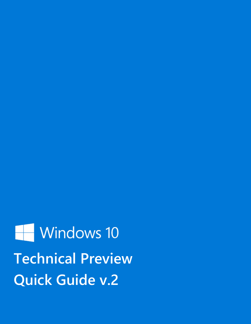Windows 10 **Technical Preview Quick Guide v.2**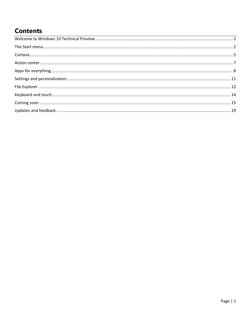## **Contents**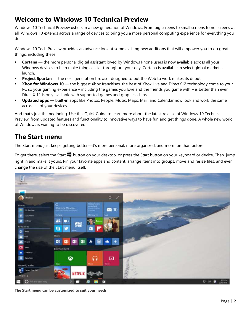## <span id="page-2-0"></span>**Welcome to Windows 10 Technical Preview**

Windows 10 Technical Preview ushers in a new generation of Windows. From big screens to small screens to no screens at all, Windows 10 extends across a range of devices to bring you a more personal computing experience for everything you do.

Windows 10 Tech Preview provides an advance look at some exciting new additions that will empower you to do great things, including these:

- **Cortana** the more personal digital assistant loved by Windows Phone users is now available across all your Windows devices to help make things easier throughout your day. Cortana is available in select global markets at launch.
- **Project Spartan** the next-generation browser designed to put the Web to work makes its debut.
- **Xbox for Windows 10** the biggest Xbox franchises, the best of Xbox Live and DirectX12 technology come to your PC so your gaming experience – including the games you love and the friends you game with – is better than ever. DirectX 12 is only available with supported games and graphics chips.
- **Updated apps**  built-in apps like Photos, People, Music, Maps, Mail, and Calendar now look and work the same across all of your devices.

And that's just the beginning. Use this Quick Guide to learn more about the latest release of Windows 10 Technical Preview, from updated features and functionality to innovative ways to have fun and get things done. A whole new world of Windows is waiting to be discovered.

## <span id="page-2-1"></span>**The Start menu**

The Start menu just keeps getting better—it's more personal, more organized, and more fun than before.

To get there, select the Start **button on your desktop**, or press the Start button on your keyboard or device. Then, jump right in and make it yours. Pin your favorite apps and content, arrange items into groups, move and resize tiles, and even change the size of the Start menu itself.



**The Start menu can be customized to suit your needs**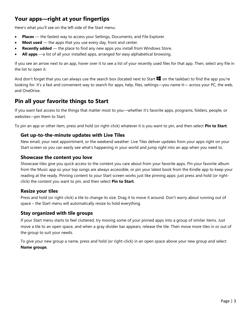## **Your apps—right at your fingertips**

Here's what you'll see on the left side of the Start menu:

- **Places**  the fastest way to access your Settings, Documents, and File Explorer.
- **Most used** the apps that you use every day, front and center.
- **Recently added** the place to find any new apps you install from Windows Store.
- **All apps** —a list of all your installed apps, arranged for easy alphabetical browsing.

If you see an arrow next to an app, hover over it to see a list of your recently used files for that app. Then, select any file in the list to open it.

And don't forget that you can always use the search box (located next to Start  $\blacksquare$  on the taskbar) to find the app you're looking for. It's a fast and convenient way to search for apps, help, files, settings—you name it— across your PC, the web, and OneDrive.

### **Pin all your favorite things to Start**

If you want fast access to the things that matter most to you—whether it's favorite apps, programs, folders, people, or websites—pin them to Start.

To pin an app or other item, press and hold (or right-click) whatever it is you want to pin, and then select **Pin to Start**.

#### **Get up-to-the-minute updates with Live Tiles**

New email, your next appointment, or the weekend weather: Live Tiles deliver updates from your apps right on your Start screen so you can easily see what's happening in your world and jump right into an app when you need to.

#### **Showcase the content you love**

Showcase tiles give you quick access to the content you care about from your favorite apps. Pin your favorite album from the Music app so your top songs are always accessible, or pin your latest book from the Kindle app to keep your reading at the ready. Pinning content to your Start screen works just like pinning apps: just press and hold (or rightclick) the content you want to pin, and then select **Pin to Start**.

#### **Resize your tiles**

Press and hold (or right-click) a tile to change its size. Drag it to move it around. Don't worry about running out of space – the Start menu will automatically resize to hold everything.

#### **Stay organized with tile groups**

If your Start menu starts to feel cluttered, try moving some of your pinned apps into a group of similar items. Just move a tile to an open space, and when a gray divider bar appears, release the tile. Then move more tiles in or out of the group to suit your needs.

To give your new group a name, press and hold (or right-click) in an open space above your new group and select **Name groups**.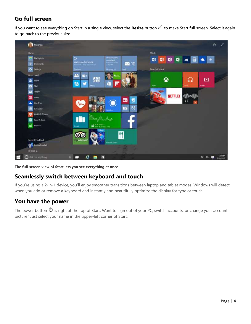## **Go full screen**

If you want to see everything on Start in a single view, select the Resize button  $\sqrt{ }$  to make Start full screen. Select it again to go back to the previous size.



**The full-screen view of Start lets you see everything at once**

## **Seamlessly switch between keyboard and touch**

If you're using a 2-in-1 device, you'll enjoy smoother transitions between laptop and tablet modes. Windows will detect when you add or remove a keyboard and instantly and beautifully optimize the display for type or touch.

## **You have the power**

The power button  $\Phi$  is right at the top of Start. Want to sign out of your PC, switch accounts, or change your account picture? Just select your name in the upper-left corner of Start.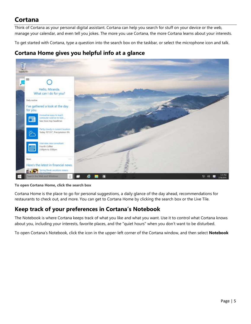# <span id="page-5-0"></span>**Cortana**

Think of Cortana as your personal digital assistant. Cortana can help you search for stuff on your device or the web, manage your calendar, and even tell you jokes. The more you use Cortana, the more Cortana learns about your interests.

To get started with Cortana, type a question into the search box on the taskbar, or select the microphone icon and talk.

## **Cortana Home gives you helpful info at a glance**



**To open Cortana Home, click the search box**

Cortana Home is the place to go for personal suggestions, a daily glance of the day ahead, recommendations for restaurants to check out, and more. You can get to Cortana Home by clicking the search box or the Live Tile.

## **Keep track of your preferences in Cortana's Notebook**

The Notebook is where Cortana keeps track of what you like and what you want. Use it to control what Cortana knows about you, including your interests, favorite places, and the "quiet hours" when you don't want to be disturbed.

To open Cortana's Notebook, click the icon in the upper-left corner of the Cortana window, and then select **Notebook**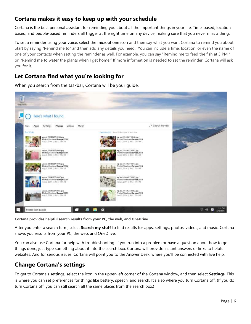## **Cortana makes it easy to keep up with your schedule**

Cortana is the best personal assistant for reminding you about all the important things in your life. Time-based, locationbased, and people-based reminders all trigger at the right time on any device, making sure that you never miss a thing.

To set a reminder using your voice, select the microphone icon and then say what you want Cortana to remind you about. Start by saying "Remind me to" and then add any details you need. You can include a time, location, or even the name of one of your contacts when setting the reminder as well. For example, you can say "Remind me to feed the fish at 3 PM," or, "Remind me to water the plants when I get home." If more information is needed to set the reminder, Cortana will ask you for it.

## **Let Cortana find what you're looking for**

When you search from the taskbar, Cortana will be your guide.



**Cortana provides helpful search results from your PC, the web, and OneDrive**

After you enter a search term, select **Search my stuff** to find results for apps, settings, photos, videos, and music. Cortana shows you results from your PC, the web, and OneDrive.

You can also use Cortana for help with troubleshooting. If you run into a problem or have a question about how to get things done, just type something about it into the search box. Cortana will provide instant answers or links to helpful websites. And for serious issues, Cortana will point you to the Answer Desk, where you'll be connected with live help.

## **Change Cortana's settings**

To get to Cortana's settings, select the icon in the upper-left corner of the Cortana window, and then select **Settings**. This is where you can set preferences for things like battery, speech, and search. It's also where you turn Cortana off. (If you do turn Cortana off, you can still search all the same places from the search box.)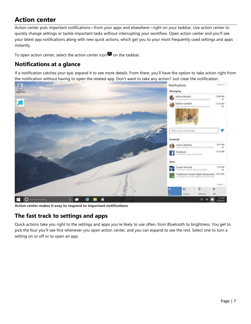# <span id="page-7-0"></span>**Action center**

Action center puts important notifications—from your apps and elsewhere—right on your taskbar. Use action center to quickly change settings or tackle important tasks without interrupting your workflow. Open action center and you'll see your latest app notifications along with new quick actions, which get you to your most-frequently used settings and apps instantly.

To open action center, select the action center icon  $\blacksquare$  on the taskbar.

## **Notifications at a glance**

If a notification catches your eye, expand it to see more details. From there, you'll have the option to take action right from the notification without having to open the related app. Don't want to take any action? Just clear the notification.



**Action center makes it easy to respond to important notifications** 

### **The fast track to settings and apps**

Quick actions take you right to the settings and apps you're likely to use often, from Bluetooth to brightness. You get to pick the four you'll see first whenever you open action center, and you can expand to see the rest. Select one to turn a setting on or off or to open an app.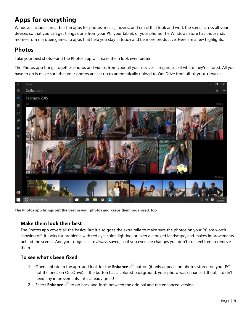# <span id="page-8-0"></span>**Apps for everything**

Windows includes great built-in apps for photos, music, movies, and email that look and work the same across all your devices so that you can get things done from your PC, your tablet, or your phone. The Windows Store has thousands more—from marquee games to apps that help you stay in touch and be more productive. Here are a few highlights.

## **Photos**

Take your best shots—and the Photos app will make them look even better.

The Photos app brings together photos and videos from your all your devices—regardless of where they're stored. All you have to do is make sure that your photos are set up to automatically upload to OneDrive from all of your devices.



**The Photos app brings out the best in your photos and keeps them organized, too**

#### **Make them look their best**

The Photos app covers all the basics. But it also goes the extra mile to make sure the photos on your PC are worth showing off. It looks for problems with red eye, color, lighting, or even a crooked landscape, and makes improvements behind the scenes. And your originals are always saved, so if you ever see changes you don't like, feel free to remove them.

### **To see what's been fixed**

- 1. Open a photo in the app, and look for the **Enhance** button (it only appears on photos stored on your PC, not the ones on OneDrive). If the button has a colored background, your photo was enhanced. If not, it didn't need any improvements—it's already great!
- 2. Select **Enhance** it to go back and forth between the original and the enhanced version.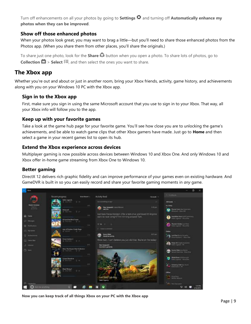Turn off enhancements on all your photos by going to **Settings**  $\Omega$  and turning off **Automatically enhance my photos when they can be improved**.

#### **Show off those enhanced photos**

When your photos look great, you may want to brag a little—but you'll need to share those enhanced photos from the Photos app. (When you share them from other places, you'll share the originals.)

To share just one photo, look for the **Share**  $\Omega$  button when you open a photo. To share lots of photos, go to **Collection**  $\mathbf{\Box}$  **> Select**  $\sharp \equiv$ , and then select the ones you want to share.

### **The Xbox app**

Whether you're out and about or just in another room, bring your Xbox friends, activity, game history, and achievements along with you on your Windows 10 PC with the Xbox app.

#### **Sign in to the Xbox app**

First, make sure you sign in using the same Microsoft account that you use to sign in to your Xbox. That way, all your Xbox info will follow you to the app.

#### **Keep up with your favorite games**

Take a look at the game hub page for your favorite game. You'll see how close you are to unlocking the game's achievements, and be able to watch game clips that other Xbox gamers have made. Just go to **Home** and then select a game in your recent games list to open its hub.

#### **Extend the Xbox experience across devices**

Multiplayer gaming is now possible across devices between Windows 10 and Xbox One. And only Windows 10 and Xbox offer in-home game streaming from Xbox One to Windows 10.

#### **Better gaming**

DirectX 12 delivers rich graphic fidelity and can improve performance of your games even on existing hardware. And GameDVR is built in so you can easily record and share your favorite gaming moments in *any* game.



 **Now you can keep track of all things Xbox on your PC with the Xbox app**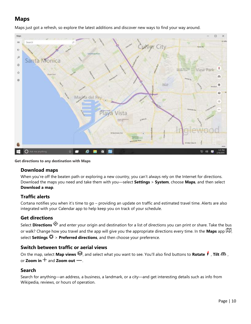## **Maps**

Maps just got a refresh, so explore the latest additions and discover new ways to find your way around.



**Get directions to any destination with Maps**

#### **Download maps**

When you're off the beaten path or exploring a new country, you can't always rely on the Internet for directions. Download the maps you need and take them with you—select **Settings** > **System**, choose **Maps**, and then select **Download a map**.

#### **Traffic alerts**

Cortana notifies you when it's time to go – providing an update on traffic and estimated travel time. Alerts are also integrated with your Calendar app to help keep you on track of your schedule.

#### **Get directions**

Select **Directions**  $\bullet$  and enter your origin and destination for a list of directions you can print or share. Take the bus or walk? Change how you travel and the app will give you the appropriate directions every time. In the Maps app  $I\!\!\!I\!\!\!I$ , select **Settings**  $\ddot{\mathbf{\nabla}}$  > **Preferred directions**, and then choose your preference.

### **Switch between traffic or aerial views**

On the map, select **Map views**  $\mathcal{F}$ , and select what you want to see. You'll also find buttons to **Rotate f** , **Tilt**  $\mathbf{A}$ , or **Zoom in**  $+$  and **Zoom out**  $-$ .

#### **Search**

Search for anything—an address, a business, a landmark, or a city—and get interesting details such as info from Wikipedia, reviews, or hours of operation.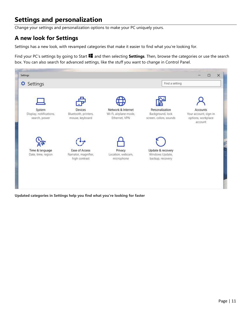## <span id="page-11-0"></span>**Settings and personalization**

Change your settings and personalization options to make your PC uniquely yours.

## **A new look for Settings**

Settings has a new look, with revamped categories that make it easier to find what you're looking for.

Find your PC's settings by going to Start  $\blacksquare$  and then selecting **Settings**. Then, browse the categories or use the search box. You can also search for advanced settings, like the stuff you want to change in Control Panel.



**Updated categories in Settings help you find what you're looking for faster**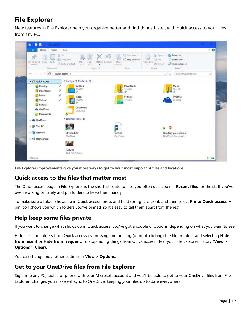## <span id="page-12-0"></span>**File Explorer**

New features in File Explorer help you organize better and find things faster, with quick access to your files from any PC.



**File Explorer improvements give you more ways to get to your most important files and locations**

## **Quick access to the files that matter most**

The Quick access page in File Explorer is the shortest route to files you often use. Look in **Recent files** for the stuff you've been working on lately and pin folders to keep them handy.

To make sure a folder shows up in Quick access, press and hold (or right-click) it, and then select **Pin to Quick access**. A pin icon shows you which folders you've pinned, so it's easy to tell them apart from the rest.

## **Help keep some files private**

If you want to change what shows up in Quick access, you've got a couple of options, depending on what you want to see.

Hide files and folders from Quick access by pressing and holding (or right-clicking) the file or folder and selecting **Hide from recent** or **Hide from frequent**. To stop hiding things from Quick access, clear your File Explorer history (**View** > **Options** > **Clear**).

You can change most other settings in **View** > **Options**.

### **Get to your OneDrive files from File Explorer**

Sign in to any PC, tablet, or phone with your Microsoft account and you'll be able to get to your OneDrive files from File Explorer. Changes you make will sync to OneDrive, keeping your files up to date everywhere.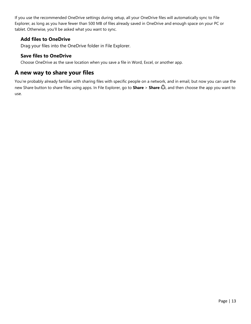If you use the recommended OneDrive settings during setup, all your OneDrive files will automatically sync to File Explorer, as long as you have fewer than 500 MB of files already saved in OneDrive and enough space on your PC or tablet. Otherwise, you'll be asked what you want to sync.

#### **Add files to OneDrive**

Drag your files into the OneDrive folder in File Explorer.

#### **Save files to OneDrive**

Choose OneDrive as the save location when you save a file in Word, Excel, or another app.

### **A new way to share your files**

You're probably already familiar with sharing files with specific people on a network, and in email, but now you can use the new Share button to share files using apps. In File Explorer, go to **Share** > **Share** , and then choose the app you want to use.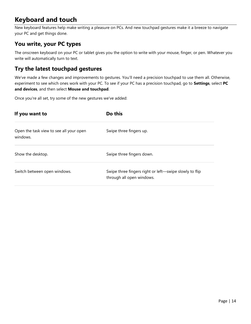## <span id="page-14-0"></span>**Keyboard and touch**

New keyboard features help make writing a pleasure on PCs. And new touchpad gestures make it a breeze to navigate your PC and get things done.

## **You write, your PC types**

The onscreen keyboard on your PC or tablet gives you the option to write with your mouse, finger, or pen. Whatever you write will automatically turn to text.

## **Try the latest touchpad gestures**

We've made a few changes and improvements to gestures. You'll need a precision touchpad to use them all. Otherwise, experiment to see which ones work with your PC. To see if your PC has a precision touchpad, go to **Settings**, select **PC and devices**, and then select **Mouse and touchpad**.

Once you're all set, try some of the new gestures we've added:

| If you want to                                      | Do this                                                                             |  |  |  |  |
|-----------------------------------------------------|-------------------------------------------------------------------------------------|--|--|--|--|
| Open the task view to see all your open<br>windows. | Swipe three fingers up.                                                             |  |  |  |  |
| Show the desktop.                                   | Swipe three fingers down.                                                           |  |  |  |  |
| Switch between open windows.                        | Swipe three fingers right or left-swipe slowly to flip<br>through all open windows. |  |  |  |  |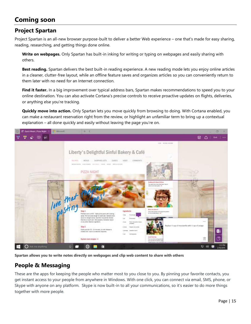## <span id="page-15-0"></span>**Coming soon**

## **Project Spartan**

Project Spartan is an all-new browser purpose-built to deliver a better Web experience – one that's made for easy sharing, reading, researching, and getting things done online.

**Write on webpages.** Only Spartan has built-in inking for writing or typing on webpages and easily sharing with others.

**Best reading.** Spartan delivers the best built-in reading experience. A new reading mode lets you enjoy online articles in a cleaner, clutter-free layout, while an offline feature saves and organizes articles so you can conveniently return to them later with no need for an Internet connection.

**Find it faster.** In a big improvement over typical address bars, Spartan makes recommendations to speed you to your online destination. You can also activate Cortana's precise controls to receive proactive updates on flights, deliveries, or anything else you're tracking.

**Quickly move into action.** Only Spartan lets you move quickly from browsing to doing. With Cortana enabled, you can make a restaurant reservation right from the review, or highlight an unfamiliar term to bring up a contextual explanation – all done quickly and easily without leaving the page you're on.



**Spartan allows you to write notes directly on webpages and clip web content to share with others** 

## **People & Messaging**

These are the apps for keeping the people who matter most to you close to you. By pinning your favorite contacts, you get instant access to your people from anywhere in Windows. With one click, you can connect via email, SMS, phone, or Skype with anyone on any platform. Skype is now built-in to all your communications, so it's easier to do more things together with more people.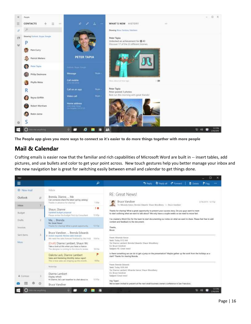

**The People app gives you more ways to connect so it's easier to do more things together with more people**

### **Mail & Calendar**

Crafting emails is easier now that the familiar and rich capabilities of Microsoft Word are built in -- insert tables, add pictures, and use bullets and color to get your point across. New touch gestures help you better manage your inbox and the new navigation bar is great for switching easily between email and calendar to get things done.

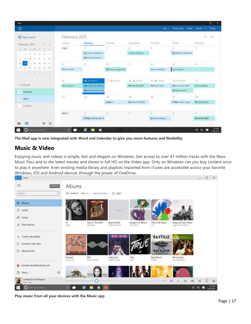| Mail                                                                                                     |                      |                               |                       |                          |                                |                      | ▫                                 |
|----------------------------------------------------------------------------------------------------------|----------------------|-------------------------------|-----------------------|--------------------------|--------------------------------|----------------------|-----------------------------------|
| Ξ                                                                                                        |                      |                               |                       |                          | $\text{Bar} \sim$              | Wark week<br>Week    | Today<br>Month                    |
| <b>E</b> New event                                                                                       | February 2015        |                               |                       |                          |                                |                      | ×<br>×                            |
| February 2015<br>$\label{eq:1} \begin{array}{lllll} \mathcal{M} & \mathcal{M} & \mathcal{M} \end{array}$ | Sunday.              | Monday                        | Tuesday               | Wednesday                | <b>SERVITORIA</b><br>Thatsday. | 2-2770<br>Friday     | <b>Saturday</b>                   |
| S. M. D.W. C. F. S.                                                                                      | Feb 1                |                               |                       | 4                        | 5                              | ñ.                   |                                   |
| $1 - 4 - 5 - 6 - 7$<br>z                                                                                 |                      | 3p Vendor Submission          |                       | Conners Birthday         |                                | 3p Wendor Submission |                                   |
| T31.1748<br>$\mathbb{I}$<br>u<br>и                                                                       |                      | <b>S2p Comisso Review</b>     |                       |                          |                                |                      |                                   |
| 10<br>19<br>$20 - 21$<br>5                                                                               | $\mathcal B$         | ġ.                            | $10\,$                | $\mathbb{H}$             | 12                             | 33                   | $14 -$                            |
| $25 - 26 - 27 - 20$<br>24.<br>23<br>32.                                                                  | <b>Stude at News</b> |                               | 10a Doctor's appointm |                          | Shwaris birthday               | Sat Francisco        |                                   |
| 4. 2. 2. 2. 2. 2. 2. 2.                                                                                  |                      |                               |                       |                          |                                |                      |                                   |
|                                                                                                          | s o<br>15            | 16 @ m/stf                    | 17.4427325            | 18. m 7257*              | 79 @ 715485                    | $20 + n$ yser        | 21                                |
| v Outlook                                                                                                | San Francisco:       | <b>Max Lunch with Barbara</b> |                       | <b>Ba</b> Texm Breakfast | :Tia Photo Class               | 10a Inventory Audit  | Nevis's Bethday                   |
| $\vee$ Personal                                                                                          |                      | <b>2p интеем лем соны</b>     |                       |                          |                                | 2p Neva's party      |                                   |
| $V$ Work                                                                                                 | źż                   | 23<br><b>STP</b>              | 24                    | 25                       | 26                             | 27                   | $\overline{28}$                   |
|                                                                                                          |                      |                               | 9:30a 11              | <b>Ba Contoso Aevese</b> |                                | 7:30a Docky's Appl   | Sp Family Night                   |
| Holidays                                                                                                 |                      |                               |                       |                          |                                |                      |                                   |
|                                                                                                          | Mar 1                | $\mathbf{2}$                  | 3                     | 4                        | s                              | $\overline{6}$       | W.                                |
|                                                                                                          |                      | 12:30p Meeting with net       |                       |                          | 2p Team meeting                |                      | Sp Family Night                   |
| ⊕ ⊙<br>萹                                                                                                 |                      |                               |                       |                          |                                |                      |                                   |
| $O$ As an anyman $O$                                                                                     | o                    | e<br>E<br>問                   |                       |                          |                                |                      | 131 PM<br>12 40<br>e<br>2/96/2015 |

**The Mail app is now integrated with Word and Calendar to give you more features and flexibility**

## **Music & Video**

Enjoying music and videos is simple, fast and elegant on Windows. Get access to over 47 million tracks with the Xbox Music Pass and to the latest movies and shows in full HD on the Video app. Only on Windows can you buy content once to play it anywhere. Even existing media library and playlists imported from iTunes are accessible across your favorite Windows, iOS and Android devices through the power of OneDrive.

|               | Music                                  |                                                                                                                                                                                             | $\Box$<br>$\sim$ | $\times$                  |
|---------------|----------------------------------------|---------------------------------------------------------------------------------------------------------------------------------------------------------------------------------------------|------------------|---------------------------|
| ≡             | иначени.<br>Search                     | Albums<br>B<br>DC Shuffle all Filter: All =: Sort Duto added = 35 Select.                                                                                                                   |                  |                           |
| $\mathcal{B}$ | <b>Q</b> Albums<br>Artists             | n gweriau                                                                                                                                                                                   |                  |                           |
| $\sqrt{d}$    | Songs<br>alla Now playing              | Angus & Julia Stone<br>Angus & Julia Stone<br>Toys In The Attic<br>Songs in A Minor<br>This is All Yours<br>21<br>Boys & Girls<br>Adole<br>Alabama Shakes<br>40.1<br>Alca Teys<br>Aerosmith |                  |                           |
| $+$           | Create new playfist                    | ANERIA LAXY SELL<br><b>BASTILLE</b>                                                                                                                                                         |                  |                           |
| 트<br>₩.       | Summer Time Jams<br>Workout Mix        | <b>BAD BLOOD</b>                                                                                                                                                                            |                  |                           |
|               | miranda.vance@outlook.com              | Lady Soul<br>AM<br><b>Bad Blood</b><br>Pet Sounds<br>Funeral<br>True<br>Aretha Pranklin<br>Aver<br>Bartile <sup></sup><br>The Beach Boys<br>Attade Trie<br>Arctic Monkeye                   |                  |                           |
| Õ             | Shop ><br>Locked Out of Heaven         | Ø<br>K<br>$\mathbb{R}$<br>$111 -$<br><b>XI</b><br>419<br>46                                                                                                                                 | n                | 区                         |
|               | <b>Brizist Marx</b><br>Ask me anything | $\mathbb{H}$<br>ω<br>п<br>a,<br>e                                                                                                                                                           | 孠                | <b>TELPM</b><br>2/16/2015 |

**Play music from all your devices with the Music app**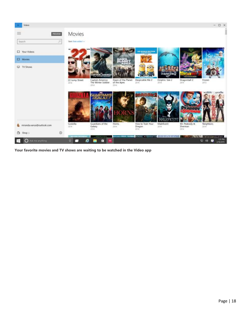

**Your favorite movies and TV shows are waiting to be watched in the Video app**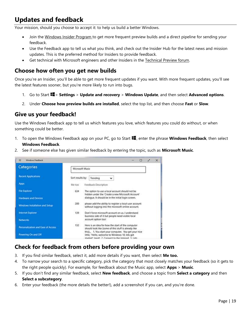## <span id="page-19-0"></span>**Updates and feedback**

Your mission, should you choose to accept it: to help us build a better Windows.

- Join the [Windows Insider Program t](http://go.microsoft.com/fwlink/p/?LinkId=507619)o get more frequent preview builds and a direct pipeline for sending your feedback.
- Use the Feedback app to tell us what you think, and check out the Insider Hub for the latest news and mission updates. This is the preferred method for Insiders to provide feedback.
- Get technical with Microsoft engineers and other Insiders in the [Technical Preview forum.](http://go.microsoft.com/fwlink/p/?LinkId=507620)

### **Choose how often you get new builds**

Once you're an Insider, you'll be able to get more frequent updates if you want. With more frequent updates, you'll see the latest features sooner, but you're more likely to run into bugs.

- 1. Go to Start > **Settings** > **Update and recovery** > **Windows Update**, and then select **Advanced options**.
- 2. Under **Choose how preview builds are installed**, select the top list, and then choose **Fast** or **Slow**.

### **Give us your feedback!**

Use the Windows Feedback app to tell us which features you love, which features you could do without, or when something could be better.

- 1. To open the Windows Feedback app on your PC, go to Start **...** enter the phrase **Windows Feedback**, then select **Windows Feedback**.
- 2. See if someone else has given similar feedback by entering the topic, such as **Microsoft Music**.

| Windows Fredhack<br>芸              |                                                                                                                                                                | Ξ | $\times$ |
|------------------------------------|----------------------------------------------------------------------------------------------------------------------------------------------------------------|---|----------|
| Categories                         | Microsoft Music                                                                                                                                                |   |          |
| <b>Recent Applications</b>         | Sort results by:<br>Trending<br>v                                                                                                                              |   |          |
| Apps                               | Me too<br>Feedback Description                                                                                                                                 |   |          |
| <b>File Explorer</b>               | 634<br>The option to use a local account should not be                                                                                                         |   |          |
| Hardware and Devices               | hidden under the 'Create a new Microsoft Account'<br>dialogue. It should be in the initial login screen.                                                       |   |          |
| Windows Installation and Setup     | 200<br>please add the ability to register a local user account<br>without logging into the microsoft online account.                                           |   |          |
| <b>Internet Explorer</b>           | 139<br>Don't force microsoft account on us. I understand<br>business side of it but people need visible local                                                  |   |          |
| <b>Networks</b>                    | account option too!                                                                                                                                            |   |          |
| Personalization and Ease of Access | 132<br>Here is an idea for how the start of the computer<br>should look like (some of this stuff is already like                                               |   |          |
| Powering On and Off                | this) 1. You start your computer. You get your nice<br>little, "Hello, welcome to Windows 10, lets get<br>started" (next). 2. Connect to the Internet. 3.1ets. |   |          |

### **Check for feedback from others before providing your own**

- 3. If you find similar feedback, select it, add more details if you want, then select **Me too.**
- 4. To narrow your search to a specific category, pick the category that most closely matches your feedback (so it gets to the right people quickly). For example, for feedback about the Music app, select **Apps** > **Music**.
- 5. If you don't find any similar feedback, select **New feedback**, and choose a topic from **Select a category** and then **Select a subcategory**.
- 6. Enter your feedback (the more details the better!), add a screenshot if you can, and you're done.